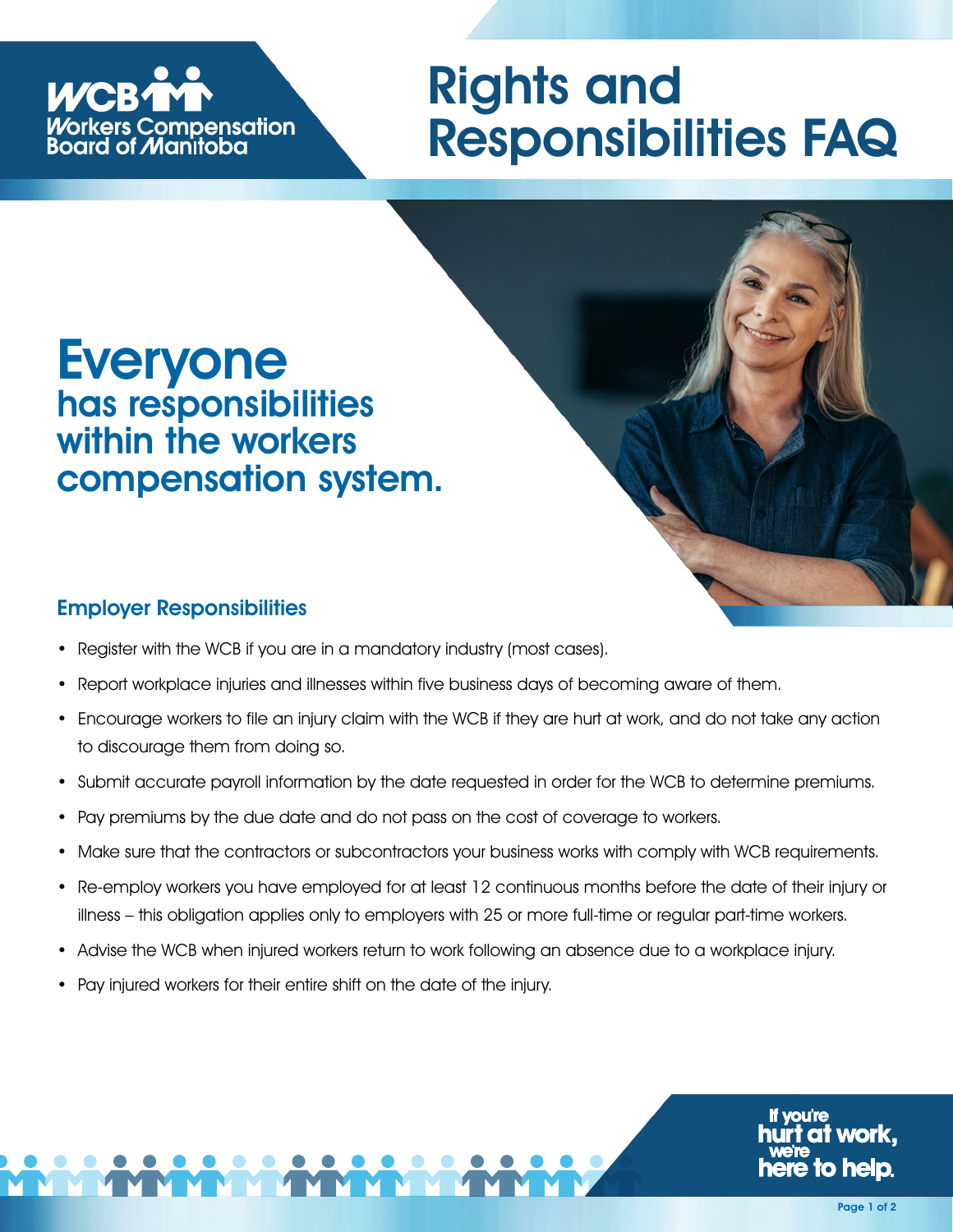

# Rights and Responsibilities FAQ

## Everyone has responsibilities within the workers compensation system.

#### Employer Responsibilities

- Register with the WCB if you are in a mandatory industry (most cases).
- Report workplace injuries and illnesses within five business days of becoming aware of them.
- Encourage workers to file an injury claim with the WCB if they are hurt at work, and do not take any action to discourage them from doing so.
- Submit accurate payroll information by the date requested in order for the WCB to determine premiums.
- Pay premiums by the due date and do not pass on the cost of coverage to workers.
- Make sure that the contractors or subcontractors your business works with comply with WCB requirements.
- Re-employ workers you have employed for at least 12 continuous months before the date of their injury or illness – this obligation applies only to employers with 25 or more full-time or regular part-time workers.
- Advise the WCB when injured workers return to work following an absence due to a workplace injury.
- Pay injured workers for their entire shift on the date of the injury.

o helo